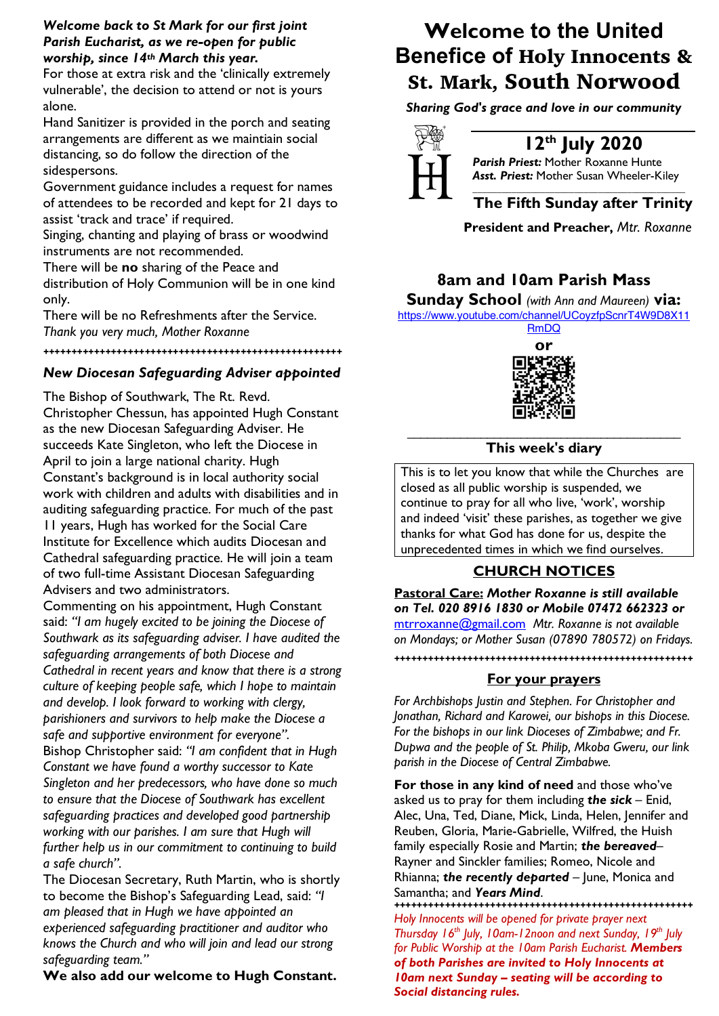## *Welcome back to St Mark for our first joint Parish Eucharist, as we re-open for public worship, since 14th March this year.*

For those at extra risk and the 'clinically extremely vulnerable', the decision to attend or not is yours alone.

Hand Sanitizer is provided in the porch and seating arrangements are different as we maintiain social distancing, so do follow the direction of the sidespersons.

Government guidance includes a request for names of attendees to be recorded and kept for 21 days to assist 'track and trace' if required.

Singing, chanting and playing of brass or woodwind instruments are not recommended.

There will be **no** sharing of the Peace and

distribution of Holy Communion will be in one kind only.

There will be no Refreshments after the Service. *Thank you very much, Mother Roxanne*

#### **+++++++++++++++++++++++++++++++++++++++++++++++++++++**

## *New Diocesan Safeguarding Adviser appointed*

The Bishop of Southwark, The Rt. Revd. Christopher Chessun, has appointed Hugh Constant as the new Diocesan Safeguarding Adviser. He succeeds Kate Singleton, who left the Diocese in April to join a large national charity. Hugh Constant's background is in local authority social work with children and adults with disabilities and in auditing safeguarding practice. For much of the past 11 years, Hugh has worked for the Social Care Institute for Excellence which audits Diocesan and Cathedral safeguarding practice. He will join a team of two full-time Assistant Diocesan Safeguarding Advisers and two administrators.

Commenting on his appointment, Hugh Constant said: *"I am hugely excited to be joining the Diocese of Southwark as its safeguarding adviser. I have audited the safeguarding arrangements of both Diocese and Cathedral in recent years and know that there is a strong culture of keeping people safe, which I hope to maintain and develop. I look forward to working with clergy, parishioners and survivors to help make the Diocese a safe and supportive environment for everyone".* Bishop Christopher said: *"I am confident that in Hugh Constant we have found a worthy successor to Kate Singleton and her predecessors, who have done so much to ensure that the Diocese of Southwark has excellent safeguarding practices and developed good partnership working with our parishes. I am sure that Hugh will further help us in our commitment to continuing to build a safe church".*

The Diocesan Secretary, Ruth Martin, who is shortly to become the Bishop's Safeguarding Lead, said: *"I am pleased that in Hugh we have appointed an experienced safeguarding practitioner and auditor who knows the Church and who will join and lead our strong safeguarding team."*

**We also add our welcome to Hugh Constant.**

# **Welcome to the United Benefice of** Holy Innocents & St. Mark, South Norwood

*Sharing God's grace and love in our community*



## **12th July 2020**

*Parish Priest:* Mother Roxanne Hunte *Asst. Priest:* Mother Susan Wheeler-Kiley

#### *\_\_\_\_\_\_\_\_\_\_\_\_\_\_\_\_\_\_\_\_\_\_\_\_\_\_\_\_\_\_\_\_\_\_\_\_\_\_\_\_\_\_\_\_* **The Fifth Sunday after Trinity**

**President and Preacher,** *Mtr. Roxanne*

## **8am and 10am Parish Mass**

**Sunday School** *(with Ann and Maureen)* **via:**  https://www.youtube.com/channel/UCoyzfpScnrT4W9D8X11

RmDQ **or**

#### \_\_\_\_\_\_\_\_\_\_\_\_\_\_\_\_\_\_\_\_\_\_\_\_\_\_\_\_\_\_\_\_\_\_\_\_\_\_\_\_\_ **This week's diary**

This is to let you know that while the Churches are closed as all public worship is suspended, we continue to pray for all who live, 'work', worship and indeed 'visit' these parishes, as together we give thanks for what God has done for us, despite the unprecedented times in which we find ourselves.

## **CHURCH NOTICES**

**Pastoral Care:** *Mother Roxanne is still available on Tel. 020 8916 1830 or Mobile 07472 662323 or* mtrroxanne@gmail.com *Mtr. Roxanne is not available on Mondays; or Mother Susan (07890 780572) on Fridays.*

## **+++++++++++++++++++++++++++++++++++++++++++++++++++++ For your prayers**

*For Archbishops Justin and Stephen. For Christopher and Jonathan, Richard and Karowei, our bishops in this Diocese. For the bishops in our link Dioceses of Zimbabwe; and Fr. Dupwa and the people of St. Philip, Mkoba Gweru, our link parish in the Diocese of Central Zimbabwe.* 

**For those in any kind of need** and those who've asked us to pray for them including *the sick* – Enid, Alec, Una, Ted, Diane, Mick, Linda, Helen, Jennifer and Reuben, Gloria, Marie-Gabrielle, Wilfred, the Huish family especially Rosie and Martin; *the bereaved*– Rayner and Sinckler families; Romeo, Nicole and Rhianna; *the recently departed* – June, Monica and Samantha; and *Years Mind*.

**+++++++++++++++++++++++++++++++++++++++++++++++++++++** *Holy Innocents will be opened for private prayer next Thursday 16th July, 10am-12noon and next Sunday, 19th July for Public Worship at the 10am Parish Eucharist. Members of both Parishes are invited to Holy Innocents at 10am next Sunday – seating will be according to Social distancing rules.*